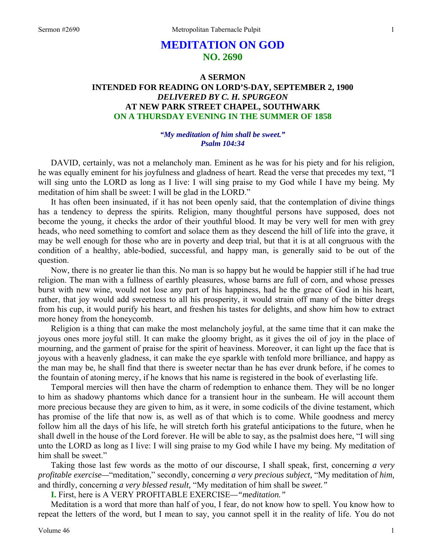# **MEDITATION ON GOD NO. 2690**

## **A SERMON INTENDED FOR READING ON LORD'S-DAY, SEPTEMBER 2, 1900**  *DELIVERED BY C. H. SPURGEON*  **AT NEW PARK STREET CHAPEL, SOUTHWARK ON A THURSDAY EVENING IN THE SUMMER OF 1858**

#### *"My meditation of him shall be sweet." Psalm 104:34*

DAVID, certainly, was not a melancholy man. Eminent as he was for his piety and for his religion, he was equally eminent for his joyfulness and gladness of heart. Read the verse that precedes my text, "I will sing unto the LORD as long as I live: I will sing praise to my God while I have my being. My meditation of him shall be sweet: I will be glad in the LORD."

It has often been insinuated, if it has not been openly said, that the contemplation of divine things has a tendency to depress the spirits. Religion, many thoughtful persons have supposed, does not become the young, it checks the ardor of their youthful blood. It may be very well for men with grey heads, who need something to comfort and solace them as they descend the hill of life into the grave, it may be well enough for those who are in poverty and deep trial, but that it is at all congruous with the condition of a healthy, able-bodied, successful, and happy man, is generally said to be out of the question.

Now, there is no greater lie than this. No man is so happy but he would be happier still if he had true religion. The man with a fullness of earthly pleasures, whose barns are full of corn, and whose presses burst with new wine, would not lose any part of his happiness, had he the grace of God in his heart, rather, that joy would add sweetness to all his prosperity, it would strain off many of the bitter dregs from his cup, it would purify his heart, and freshen his tastes for delights, and show him how to extract more honey from the honeycomb.

Religion is a thing that can make the most melancholy joyful, at the same time that it can make the joyous ones more joyful still. It can make the gloomy bright, as it gives the oil of joy in the place of mourning, and the garment of praise for the spirit of heaviness. Moreover, it can light up the face that is joyous with a heavenly gladness, it can make the eye sparkle with tenfold more brilliance, and happy as the man may be, he shall find that there is sweeter nectar than he has ever drunk before, if he comes to the fountain of atoning mercy, if he knows that his name is registered in the book of everlasting life.

Temporal mercies will then have the charm of redemption to enhance them. They will be no longer to him as shadowy phantoms which dance for a transient hour in the sunbeam. He will account them more precious because they are given to him, as it were, in some codicils of the divine testament, which has promise of the life that now is, as well as of that which is to come. While goodness and mercy follow him all the days of his life, he will stretch forth his grateful anticipations to the future, when he shall dwell in the house of the Lord forever. He will be able to say, as the psalmist does here, "I will sing unto the LORD as long as I live: I will sing praise to my God while I have my being. My meditation of him shall be sweet."

Taking those last few words as the motto of our discourse, I shall speak, first, concerning *a very profitable exercise—*"meditation," secondly, concerning *a very precious subject,* "My meditation of *him,*  and thirdly, concerning *a very blessed result,* "My meditation of him shall be *sweet."*

**I.** First, here is A VERY PROFITABLE EXERCISE*—"meditation."*

Meditation is a word that more than half of you, I fear, do not know how to spell. You know how to repeat the letters of the word, but I mean to say, you cannot spell it in the reality of life. You do not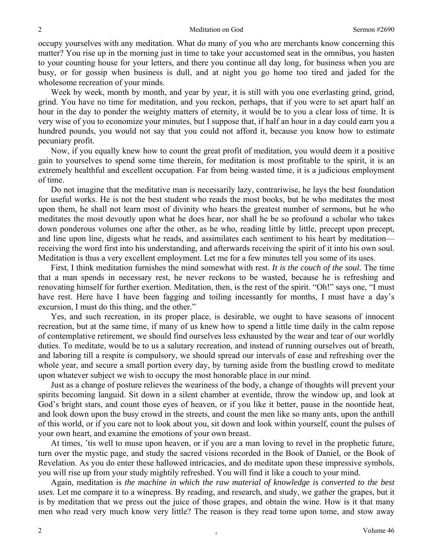occupy yourselves with any meditation. What do many of you who are merchants know concerning this matter? You rise up in the morning just in time to take your accustomed seat in the omnibus, you hasten to your counting house for your letters, and there you continue all day long, for business when you are busy, or for gossip when business is dull, and at night you go home too tired and jaded for the wholesome recreation of your minds.

Week by week, month by month, and year by year, it is still with you one everlasting grind, grind, grind. You have no time for meditation, and you reckon, perhaps, that if you were to set apart half an hour in the day to ponder the weighty matters of eternity, it would be to you a clear loss of time. It is very wise of you to economize your minutes, but I suppose that, if half an hour in a day could earn you a hundred pounds, you would not say that you could not afford it, because you know how to estimate pecuniary profit.

Now, if you equally knew how to count the great profit of meditation, you would deem it a positive gain to yourselves to spend some time therein, for meditation is most profitable to the spirit, it is an extremely healthful and excellent occupation. Far from being wasted time, it is a judicious employment of time.

Do not imagine that the meditative man is necessarily lazy, contrariwise, he lays the best foundation for useful works. He is not the best student who reads the most books, but he who meditates the most upon them, he shall not learn most of divinity who hears the greatest number of sermons, but he who meditates the most devoutly upon what he does hear, nor shall he be so profound a scholar who takes down ponderous volumes one after the other, as he who, reading little by little, precept upon precept, and line upon line, digests what he reads, and assimilates each sentiment to his heart by meditation receiving the word first into his understanding, and afterwards receiving the spirit of it into his own soul. Meditation is thus a very excellent employment. Let me for a few minutes tell you some of its uses.

First, I think meditation furnishes the mind somewhat with rest. *It is the couch of the soul.* The time that a man spends in necessary rest, he never reckons to be wasted, because he is refreshing and renovating himself for further exertion. Meditation, then, is the rest of the spirit. "Oh!" says one, "I must have rest. Here have I have been fagging and toiling incessantly for months, I must have a day's excursion, I must do this thing, and the other."

Yes, and such recreation, in its proper place, is desirable, we ought to have seasons of innocent recreation, but at the same time, if many of us knew how to spend a little time daily in the calm repose of contemplative retirement, we should find ourselves less exhausted by the wear and tear of our worldly duties. To meditate, would be to us a salutary recreation, and instead of running ourselves out of breath, and laboring till a respite is compulsory, we should spread our intervals of ease and refreshing over the whole year, and secure a small portion every day, by turning aside from the bustling crowd to meditate upon whatever subject we wish to occupy the most honorable place in our mind.

Just as a change of posture relieves the weariness of the body, a change of thoughts will prevent your spirits becoming languid. Sit down in a silent chamber at eventide, throw the window up, and look at God's bright stars, and count those eyes of heaven, or if you like it better, pause in the noontide heat, and look down upon the busy crowd in the streets, and count the men like so many ants, upon the anthill of this world, or if you care not to look about you, sit down and look within yourself, count the pulses of your own heart, and examine the emotions of your own breast.

At times, 'tis well to muse upon heaven, or if you are a man loving to revel in the prophetic future, turn over the mystic page, and study the sacred visions recorded in the Book of Daniel, or the Book of Revelation. As you do enter these hallowed intricacies, and do meditate upon these impressive symbols, you will rise up from your study mightily refreshed. You will find it like a couch to your mind.

Again, meditation is *the machine in which the raw material of knowledge is converted to the best uses.* Let me compare it to a winepress. By reading, and research, and study, we gather the grapes, but it is by meditation that we press out the juice of those grapes, and obtain the wine. How is it that many men who read very much know very little? The reason is they read tome upon tome, and stow away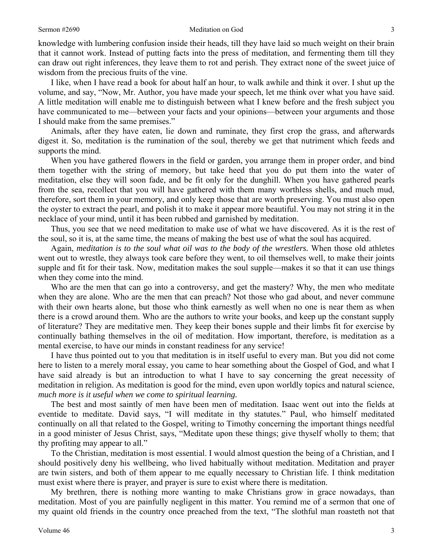knowledge with lumbering confusion inside their heads, till they have laid so much weight on their brain that it cannot work. Instead of putting facts into the press of meditation, and fermenting them till they can draw out right inferences, they leave them to rot and perish. They extract none of the sweet juice of wisdom from the precious fruits of the vine.

I like, when I have read a book for about half an hour, to walk awhile and think it over. I shut up the volume, and say, "Now, Mr. Author, you have made your speech, let me think over what you have said. A little meditation will enable me to distinguish between what I knew before and the fresh subject you have communicated to me—between your facts and your opinions—between your arguments and those I should make from the same premises."

Animals, after they have eaten, lie down and ruminate, they first crop the grass, and afterwards digest it. So, meditation is the rumination of the soul, thereby we get that nutriment which feeds and supports the mind.

When you have gathered flowers in the field or garden, you arrange them in proper order, and bind them together with the string of memory, but take heed that you do put them into the water of meditation, else they will soon fade, and be fit only for the dunghill. When you have gathered pearls from the sea, recollect that you will have gathered with them many worthless shells, and much mud, therefore, sort them in your memory, and only keep those that are worth preserving. You must also open the oyster to extract the pearl, and polish it to make it appear more beautiful. You may not string it in the necklace of your mind, until it has been rubbed and garnished by meditation.

Thus, you see that we need meditation to make use of what we have discovered. As it is the rest of the soul, so it is, at the same time, the means of making the best use of what the soul has acquired.

Again, *meditation is to the soul what oil was to the body of the wrestlers.* When those old athletes went out to wrestle, they always took care before they went, to oil themselves well, to make their joints supple and fit for their task. Now, meditation makes the soul supple—makes it so that it can use things when they come into the mind.

Who are the men that can go into a controversy, and get the mastery? Why, the men who meditate when they are alone. Who are the men that can preach? Not those who gad about, and never commune with their own hearts alone, but those who think earnestly as well when no one is near them as when there is a crowd around them. Who are the authors to write your books, and keep up the constant supply of literature? They are meditative men. They keep their bones supple and their limbs fit for exercise by continually bathing themselves in the oil of meditation. How important, therefore, is meditation as a mental exercise, to have our minds in constant readiness for any service!

I have thus pointed out to you that meditation is in itself useful to every man. But you did not come here to listen to a merely moral essay, you came to hear something about the Gospel of God, and what I have said already is but an introduction to what I have to say concerning the great necessity of meditation in religion. As meditation is good for the mind, even upon worldly topics and natural science, *much more is it useful when we come to spiritual learning.* 

The best and most saintly of men have been men of meditation. Isaac went out into the fields at eventide to meditate. David says, "I will meditate in thy statutes." Paul, who himself meditated continually on all that related to the Gospel, writing to Timothy concerning the important things needful in a good minister of Jesus Christ, says, "Meditate upon these things; give thyself wholly to them; that thy profiting may appear to all."

To the Christian, meditation is most essential. I would almost question the being of a Christian, and I should positively deny his wellbeing, who lived habitually without meditation. Meditation and prayer are twin sisters, and both of them appear to me equally necessary to Christian life. I think meditation must exist where there is prayer, and prayer is sure to exist where there is meditation.

My brethren, there is nothing more wanting to make Christians grow in grace nowadays, than meditation. Most of you are painfully negligent in this matter. You remind me of a sermon that one of my quaint old friends in the country once preached from the text, "The slothful man roasteth not that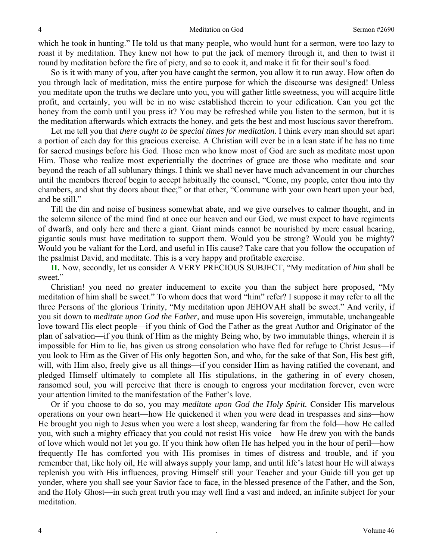which he took in hunting." He told us that many people, who would hunt for a sermon, were too lazy to roast it by meditation. They knew not how to put the jack of memory through it, and then to twist it round by meditation before the fire of piety, and so to cook it, and make it fit for their soul's food.

So is it with many of you, after you have caught the sermon, you allow it to run away. How often do you through lack of meditation, miss the entire purpose for which the discourse was designed! Unless you meditate upon the truths we declare unto you, you will gather little sweetness, you will acquire little profit, and certainly, you will be in no wise established therein to your edification. Can you get the honey from the comb until you press it? You may be refreshed while you listen to the sermon, but it is the meditation afterwards which extracts the honey, and gets the best and most luscious savor therefrom.

Let me tell you that *there ought to be special times for meditation*. I think every man should set apart a portion of each day for this gracious exercise. A Christian will ever be in a lean state if he has no time for sacred musings before his God. Those men who know most of God are such as meditate most upon Him. Those who realize most experientially the doctrines of grace are those who meditate and soar beyond the reach of all sublunary things. I think we shall never have much advancement in our churches until the members thereof begin to accept habitually the counsel, "Come, my people, enter thou into thy chambers, and shut thy doors about thee;" or that other, "Commune with your own heart upon your bed, and be still."

Till the din and noise of business somewhat abate, and we give ourselves to calmer thought, and in the solemn silence of the mind find at once our heaven and our God, we must expect to have regiments of dwarfs, and only here and there a giant. Giant minds cannot be nourished by mere casual hearing, gigantic souls must have meditation to support them. Would you be strong? Would you be mighty? Would you be valiant for the Lord, and useful in His cause? Take care that you follow the occupation of the psalmist David, and meditate. This is a very happy and profitable exercise.

**II.** Now, secondly, let us consider A VERY PRECIOUS SUBJECT, "My meditation of *him* shall be sweet."

Christian! you need no greater inducement to excite you than the subject here proposed, "My meditation of him shall be sweet." To whom does that word "him" refer? I suppose it may refer to all the three Persons of the glorious Trinity, "My meditation upon JEHOVAH shall be sweet." And verily, if you sit down to *meditate upon God the Father,* and muse upon His sovereign, immutable, unchangeable love toward His elect people—if you think of God the Father as the great Author and Originator of the plan of salvation—if you think of Him as the mighty Being who, by two immutable things, wherein it is impossible for Him to lie, has given us strong consolation who have fled for refuge to Christ Jesus—if you look to Him as the Giver of His only begotten Son, and who, for the sake of that Son, His best gift, will, with Him also, freely give us all things—if you consider Him as having ratified the covenant, and pledged Himself ultimately to complete all His stipulations, in the gathering in of every chosen, ransomed soul, you will perceive that there is enough to engross your meditation forever, even were your attention limited to the manifestation of the Father's love.

Or if you choose to do so, you may *meditate upon God the Holy Spirit.* Consider His marvelous operations on your own heart—how He quickened it when you were dead in trespasses and sins—how He brought you nigh to Jesus when you were a lost sheep, wandering far from the fold—how He called you, with such a mighty efficacy that you could not resist His voice—how He drew you with the bands of love which would not let you go. If you think how often He has helped you in the hour of peril—how frequently He has comforted you with His promises in times of distress and trouble, and if you remember that, like holy oil, He will always supply your lamp, and until life's latest hour He will always replenish you with His influences, proving Himself still your Teacher and your Guide till you get up yonder, where you shall see your Savior face to face, in the blessed presence of the Father, and the Son, and the Holy Ghost—in such great truth you may well find a vast and indeed, an infinite subject for your meditation.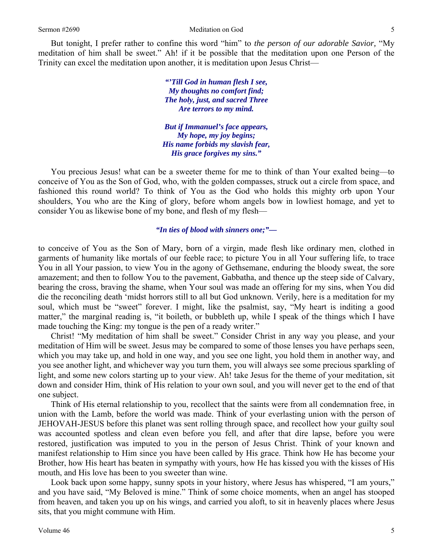But tonight, I prefer rather to confine this word "him" to *the person of our adorable Savior,* "My meditation of him shall be sweet." Ah! if it be possible that the meditation upon one Person of the Trinity can excel the meditation upon another, it is meditation upon Jesus Christ—

> *"'Till God in human flesh I see, My thoughts no comfort find; The holy, just, and sacred Three Are terrors to my mind.*

*But if Immanuel's face appears, My hope, my joy begins; His name forbids my slavish fear, His grace forgives my sins."* 

You precious Jesus! what can be a sweeter theme for me to think of than Your exalted being—to conceive of You as the Son of God, who, with the golden compasses, struck out a circle from space, and fashioned this round world? To think of You as the God who holds this mighty orb upon Your shoulders, You who are the King of glory, before whom angels bow in lowliest homage, and yet to consider You as likewise bone of my bone, and flesh of my flesh—

*"In ties of blood with sinners one;"—* 

to conceive of You as the Son of Mary, born of a virgin, made flesh like ordinary men, clothed in garments of humanity like mortals of our feeble race; to picture You in all Your suffering life, to trace You in all Your passion, to view You in the agony of Gethsemane, enduring the bloody sweat, the sore amazement; and then to follow You to the pavement, Gabbatha, and thence up the steep side of Calvary, bearing the cross, braving the shame, when Your soul was made an offering for my sins, when You did die the reconciling death 'midst horrors still to all but God unknown. Verily, here is a meditation for my soul, which must be "sweet" forever. I might, like the psalmist, say, "My heart is inditing a good matter," the marginal reading is, "it boileth, or bubbleth up, while I speak of the things which I have made touching the King: my tongue is the pen of a ready writer."

Christ! "My meditation of him shall be sweet." Consider Christ in any way you please, and your meditation of Him will be sweet. Jesus may be compared to some of those lenses you have perhaps seen, which you may take up, and hold in one way, and you see one light, you hold them in another way, and you see another light, and whichever way you turn them, you will always see some precious sparkling of light, and some new colors starting up to your view. Ah! take Jesus for the theme of your meditation, sit down and consider Him, think of His relation to your own soul, and you will never get to the end of that one subject.

Think of His eternal relationship to you, recollect that the saints were from all condemnation free, in union with the Lamb, before the world was made. Think of your everlasting union with the person of JEHOVAH-JESUS before this planet was sent rolling through space, and recollect how your guilty soul was accounted spotless and clean even before you fell, and after that dire lapse, before you were restored, justification was imputed to you in the person of Jesus Christ. Think of your known and manifest relationship to Him since you have been called by His grace. Think how He has become your Brother, how His heart has beaten in sympathy with yours, how He has kissed you with the kisses of His mouth, and His love has been to you sweeter than wine.

Look back upon some happy, sunny spots in your history, where Jesus has whispered, "I am yours," and you have said, "My Beloved is mine." Think of some choice moments, when an angel has stooped from heaven, and taken you up on his wings, and carried you aloft, to sit in heavenly places where Jesus sits, that you might commune with Him.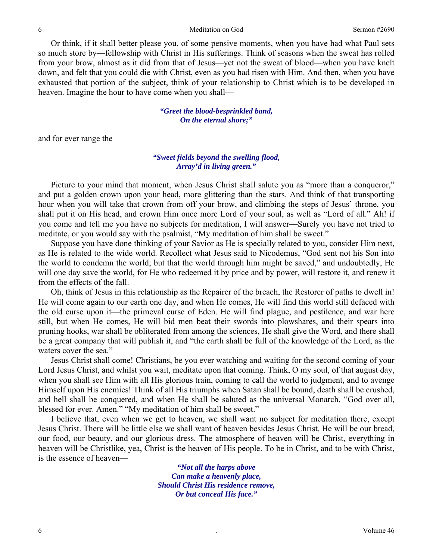Or think, if it shall better please you, of some pensive moments, when you have had what Paul sets so much store by—fellowship with Christ in His sufferings. Think of seasons when the sweat has rolled from your brow, almost as it did from that of Jesus—yet not the sweat of blood—when you have knelt down, and felt that you could die with Christ, even as you had risen with Him. And then, when you have exhausted that portion of the subject, think of your relationship to Christ which is to be developed in heaven. Imagine the hour to have come when you shall—

> *"Greet the blood-besprinkled band, On the eternal shore;"*

and for ever range the—

### *"Sweet fields beyond the swelling flood, Array'd in living green."*

Picture to your mind that moment, when Jesus Christ shall salute you as "more than a conqueror," and put a golden crown upon your head, more glittering than the stars. And think of that transporting hour when you will take that crown from off your brow, and climbing the steps of Jesus' throne, you shall put it on His head, and crown Him once more Lord of your soul, as well as "Lord of all." Ah! if you come and tell me you have no subjects for meditation, I will answer—Surely you have not tried to meditate, or you would say with the psalmist, "My meditation of him shall be sweet."

Suppose you have done thinking of your Savior as He is specially related to you, consider Him next, as He is related to the wide world. Recollect what Jesus said to Nicodemus, "God sent not his Son into the world to condemn the world; but that the world through him might be saved," and undoubtedly, He will one day save the world, for He who redeemed it by price and by power, will restore it, and renew it from the effects of the fall.

Oh, think of Jesus in this relationship as the Repairer of the breach, the Restorer of paths to dwell in! He will come again to our earth one day, and when He comes, He will find this world still defaced with the old curse upon it—the primeval curse of Eden. He will find plague, and pestilence, and war here still, but when He comes, He will bid men beat their swords into plowshares, and their spears into pruning hooks, war shall be obliterated from among the sciences, He shall give the Word, and there shall be a great company that will publish it, and "the earth shall be full of the knowledge of the Lord, as the waters cover the sea."

Jesus Christ shall come! Christians, be you ever watching and waiting for the second coming of your Lord Jesus Christ, and whilst you wait, meditate upon that coming. Think, O my soul, of that august day, when you shall see Him with all His glorious train, coming to call the world to judgment, and to avenge Himself upon His enemies! Think of all His triumphs when Satan shall be bound, death shall be crushed, and hell shall be conquered, and when He shall be saluted as the universal Monarch, "God over all, blessed for ever. Amen." "My meditation of him shall be sweet."

I believe that, even when we get to heaven, we shall want no subject for meditation there, except Jesus Christ. There will be little else we shall want of heaven besides Jesus Christ. He will be our bread, our food, our beauty, and our glorious dress. The atmosphere of heaven will be Christ, everything in heaven will be Christlike, yea, Christ is the heaven of His people. To be in Christ, and to be with Christ, is the essence of heaven—

> *"Not all the harps above Can make a heavenly place, Should Christ His residence remove, Or but conceal His face."*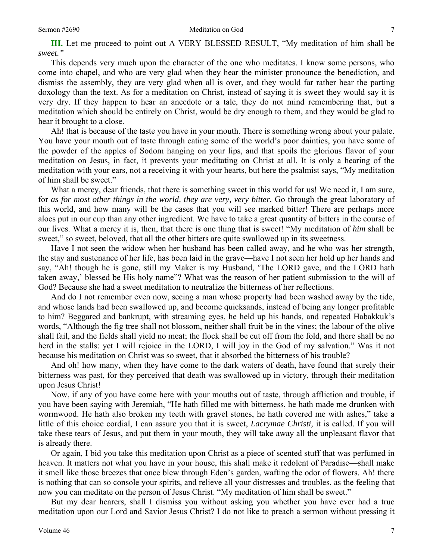**III.** Let me proceed to point out A VERY BLESSED RESULT, "My meditation of him shall be *sweet."*

This depends very much upon the character of the one who meditates. I know some persons, who come into chapel, and who are very glad when they hear the minister pronounce the benediction, and dismiss the assembly, they are very glad when all is over, and they would far rather hear the parting doxology than the text. As for a meditation on Christ, instead of saying it is sweet they would say it is very dry. If they happen to hear an anecdote or a tale, they do not mind remembering that, but a meditation which should be entirely on Christ, would be dry enough to them, and they would be glad to hear it brought to a close.

Ah! that is because of the taste you have in your mouth. There is something wrong about your palate. You have your mouth out of taste through eating some of the world's poor dainties, you have some of the powder of the apples of Sodom hanging on your lips, and that spoils the glorious flavor of your meditation on Jesus, in fact, it prevents your meditating on Christ at all. It is only a hearing of the meditation with your ears, not a receiving it with your hearts, but here the psalmist says, "My meditation of him shall be sweet."

What a mercy, dear friends, that there is something sweet in this world for us! We need it, I am sure, for *as for most other things in the world, they are very, very bitter.* Go through the great laboratory of this world, and how many will be the cases that you will see marked bitter! There are perhaps more aloes put in our cup than any other ingredient. We have to take a great quantity of bitters in the course of our lives. What a mercy it is, then, that there is one thing that is sweet! "My meditation of *him* shall be sweet," so sweet, beloved, that all the other bitters are quite swallowed up in its sweetness.

Have I not seen the widow when her husband has been called away, and he who was her strength, the stay and sustenance of her life, has been laid in the grave—have I not seen her hold up her hands and say, "Ah! though he is gone, still my Maker is my Husband, 'The LORD gave, and the LORD hath taken away,' blessed be His holy name"? What was the reason of her patient submission to the will of God? Because she had a sweet meditation to neutralize the bitterness of her reflections.

And do I not remember even now, seeing a man whose property had been washed away by the tide, and whose lands had been swallowed up, and become quicksands, instead of being any longer profitable to him? Beggared and bankrupt, with streaming eyes, he held up his hands, and repeated Habakkuk's words, "Although the fig tree shall not blossom, neither shall fruit be in the vines; the labour of the olive shall fail, and the fields shall yield no meat; the flock shall be cut off from the fold, and there shall be no herd in the stalls: yet I will rejoice in the LORD, I will joy in the God of my salvation." Was it not because his meditation on Christ was so sweet, that it absorbed the bitterness of his trouble?

And oh! how many, when they have come to the dark waters of death, have found that surely their bitterness was past, for they perceived that death was swallowed up in victory, through their meditation upon Jesus Christ!

Now, if any of you have come here with your mouths out of taste, through affliction and trouble, if you have been saying with Jeremiah, "He hath filled me with bitterness, he hath made me drunken with wormwood. He hath also broken my teeth with gravel stones, he hath covered me with ashes," take a little of this choice cordial, I can assure you that it is sweet, *Lacrymae Christi,* it is called. If you will take these tears of Jesus, and put them in your mouth, they will take away all the unpleasant flavor that is already there.

Or again, I bid you take this meditation upon Christ as a piece of scented stuff that was perfumed in heaven. It matters not what you have in your house, this shall make it redolent of Paradise—shall make it smell like those breezes that once blew through Eden's garden, wafting the odor of flowers. Ah! there is nothing that can so console your spirits, and relieve all your distresses and troubles, as the feeling that now you can meditate on the person of Jesus Christ. "My meditation of him shall be sweet."

But my dear hearers, shall I dismiss you without asking you whether you have ever had a true meditation upon our Lord and Savior Jesus Christ? I do not like to preach a sermon without pressing it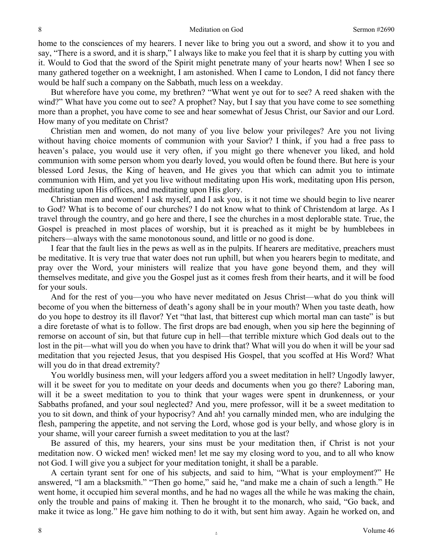8 Meditation on God Sermon #2690

home to the consciences of my hearers. I never like to bring you out a sword, and show it to you and say, "There is a sword, and it is sharp," I always like to make you feel that it is sharp by cutting you with it. Would to God that the sword of the Spirit might penetrate many of your hearts now! When I see so many gathered together on a weeknight, I am astonished. When I came to London, I did not fancy there would be half such a company on the Sabbath, much less on a weekday.

But wherefore have you come, my brethren? "What went ye out for to see? A reed shaken with the wind?" What have you come out to see? A prophet? Nay, but I say that you have come to see something more than a prophet, you have come to see and hear somewhat of Jesus Christ, our Savior and our Lord. How many of you meditate on Christ?

Christian men and women, do not many of you live below your privileges? Are you not living without having choice moments of communion with your Savior? I think, if you had a free pass to heaven's palace, you would use it very often, if you might go there whenever you liked, and hold communion with some person whom you dearly loved, you would often be found there. But here is your blessed Lord Jesus, the King of heaven, and He gives you that which can admit you to intimate communion with Him, and yet you live without meditating upon His work, meditating upon His person, meditating upon His offices, and meditating upon His glory.

Christian men and women! I ask myself, and I ask you, is it not time we should begin to live nearer to God? What is to become of our churches? I do not know what to think of Christendom at large. As I travel through the country, and go here and there, I see the churches in a most deplorable state. True, the Gospel is preached in most places of worship, but it is preached as it might be by humblebees in pitchers—always with the same monotonous sound, and little or no good is done.

I fear that the fault lies in the pews as well as in the pulpits. If hearers are meditative, preachers must be meditative. It is very true that water does not run uphill, but when you hearers begin to meditate, and pray over the Word, your ministers will realize that you have gone beyond them, and they will themselves meditate, and give you the Gospel just as it comes fresh from their hearts, and it will be food for your souls.

And for the rest of you—you who have never meditated on Jesus Christ—what do you think will become of you when the bitterness of death's agony shall be in your mouth? When you taste death, how do you hope to destroy its ill flavor? Yet "that last, that bitterest cup which mortal man can taste" is but a dire foretaste of what is to follow. The first drops are bad enough, when you sip here the beginning of remorse on account of sin, but that future cup in hell—that terrible mixture which God deals out to the lost in the pit—what will you do when you have to drink that? What will you do when it will be your sad meditation that you rejected Jesus, that you despised His Gospel, that you scoffed at His Word? What will you do in that dread extremity?

You worldly business men, will your ledgers afford you a sweet meditation in hell? Ungodly lawyer, will it be sweet for you to meditate on your deeds and documents when you go there? Laboring man, will it be a sweet meditation to you to think that your wages were spent in drunkenness, or your Sabbaths profaned, and your soul neglected? And you, mere professor, will it be a sweet meditation to you to sit down, and think of your hypocrisy? And ah! you carnally minded men, who are indulging the flesh, pampering the appetite, and not serving the Lord, whose god is your belly, and whose glory is in your shame, will your career furnish a sweet meditation to you at the last?

Be assured of this, my hearers, your sins must be your meditation then, if Christ is not your meditation now. O wicked men! wicked men! let me say my closing word to you, and to all who know not God. I will give you a subject for your meditation tonight, it shall be a parable.

A certain tyrant sent for one of his subjects, and said to him, "What is your employment?" He answered, "I am a blacksmith." "Then go home," said he, "and make me a chain of such a length." He went home, it occupied him several months, and he had no wages all the while he was making the chain, only the trouble and pains of making it. Then he brought it to the monarch, who said, "Go back, and make it twice as long." He gave him nothing to do it with, but sent him away. Again he worked on, and